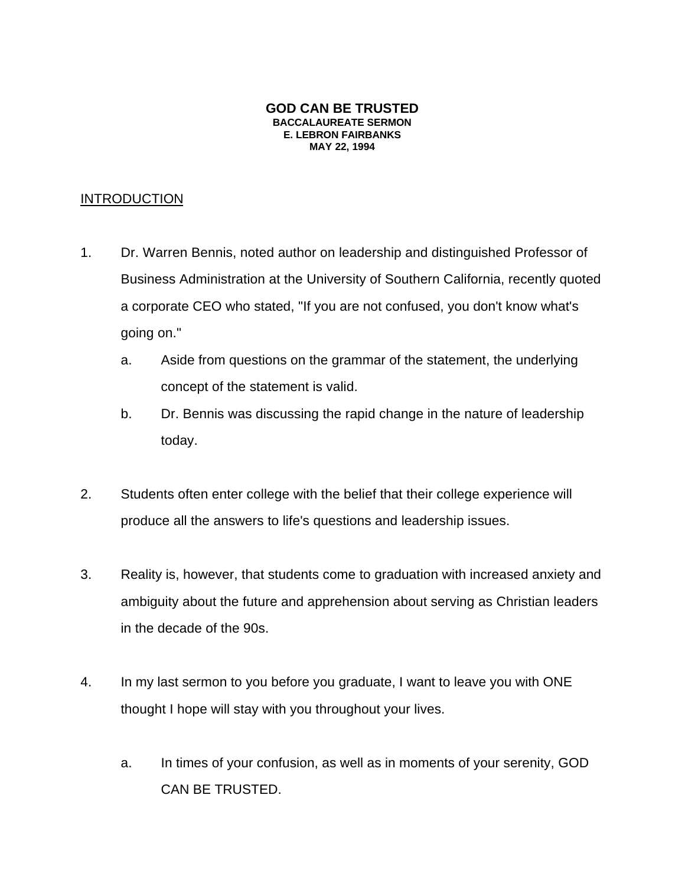#### **GOD CAN BE TRUSTED BACCALAUREATE SERMON E. LEBRON FAIRBANKS MAY 22, 1994**

## **INTRODUCTION**

- 1. Dr. Warren Bennis, noted author on leadership and distinguished Professor of Business Administration at the University of Southern California, recently quoted a corporate CEO who stated, "If you are not confused, you don't know what's going on."
	- a. Aside from questions on the grammar of the statement, the underlying concept of the statement is valid.
	- b. Dr. Bennis was discussing the rapid change in the nature of leadership today.
- 2. Students often enter college with the belief that their college experience will produce all the answers to life's questions and leadership issues.
- 3. Reality is, however, that students come to graduation with increased anxiety and ambiguity about the future and apprehension about serving as Christian leaders in the decade of the 90s.
- 4. In my last sermon to you before you graduate, I want to leave you with ONE thought I hope will stay with you throughout your lives.
	- a. In times of your confusion, as well as in moments of your serenity, GOD CAN BE TRUSTED.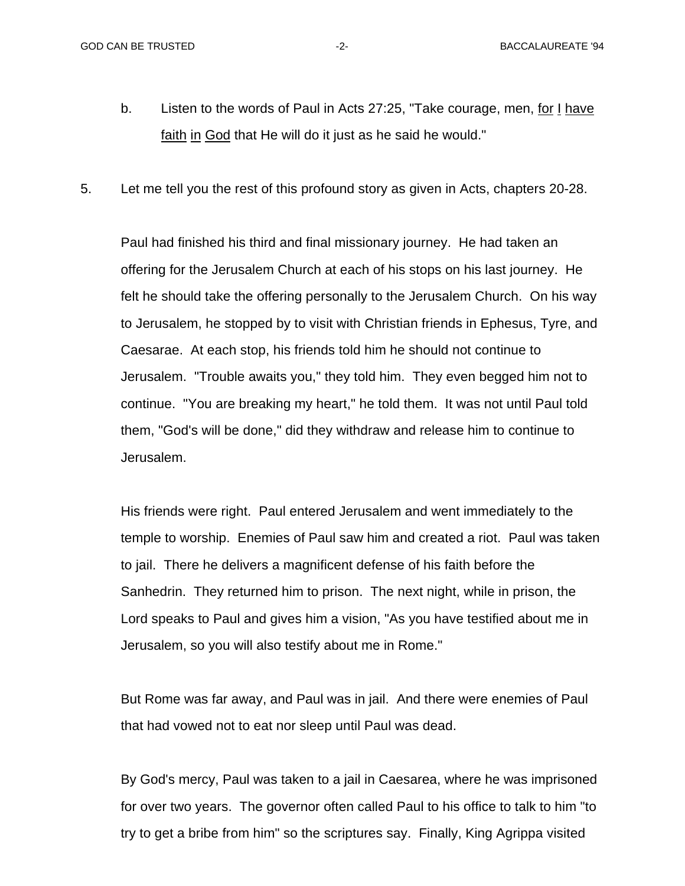- b. Listen to the words of Paul in Acts 27:25, "Take courage, men, for I have faith in God that He will do it just as he said he would."
- 5. Let me tell you the rest of this profound story as given in Acts, chapters 20-28.

Paul had finished his third and final missionary journey. He had taken an offering for the Jerusalem Church at each of his stops on his last journey. He felt he should take the offering personally to the Jerusalem Church. On his way to Jerusalem, he stopped by to visit with Christian friends in Ephesus, Tyre, and Caesarae. At each stop, his friends told him he should not continue to Jerusalem. "Trouble awaits you," they told him. They even begged him not to continue. "You are breaking my heart," he told them. It was not until Paul told them, "God's will be done," did they withdraw and release him to continue to Jerusalem.

His friends were right. Paul entered Jerusalem and went immediately to the temple to worship. Enemies of Paul saw him and created a riot. Paul was taken to jail. There he delivers a magnificent defense of his faith before the Sanhedrin. They returned him to prison. The next night, while in prison, the Lord speaks to Paul and gives him a vision, "As you have testified about me in Jerusalem, so you will also testify about me in Rome."

But Rome was far away, and Paul was in jail. And there were enemies of Paul that had vowed not to eat nor sleep until Paul was dead.

By God's mercy, Paul was taken to a jail in Caesarea, where he was imprisoned for over two years. The governor often called Paul to his office to talk to him "to try to get a bribe from him" so the scriptures say. Finally, King Agrippa visited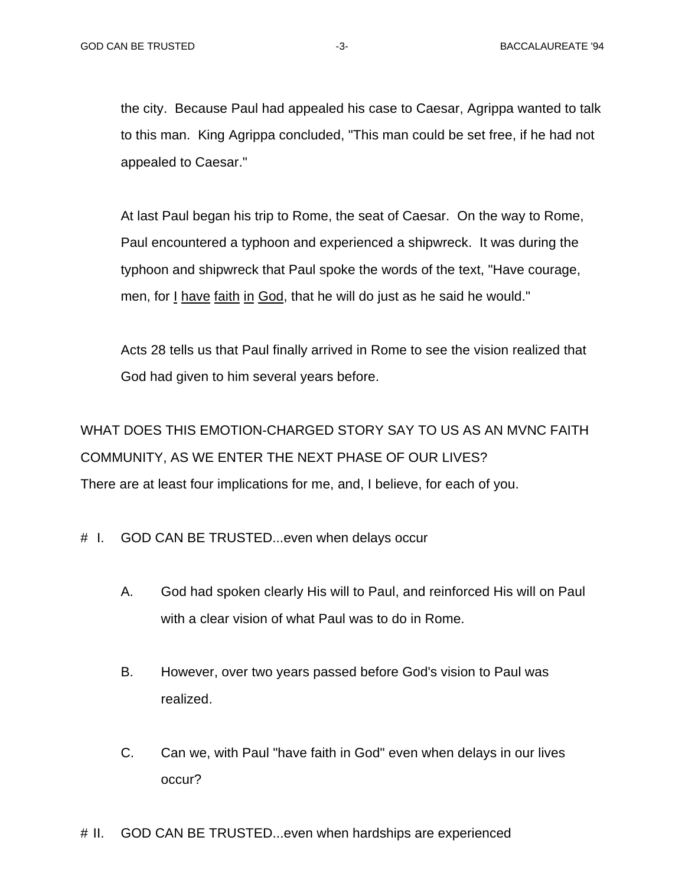the city. Because Paul had appealed his case to Caesar, Agrippa wanted to talk to this man. King Agrippa concluded, "This man could be set free, if he had not appealed to Caesar."

At last Paul began his trip to Rome, the seat of Caesar. On the way to Rome, Paul encountered a typhoon and experienced a shipwreck. It was during the typhoon and shipwreck that Paul spoke the words of the text, "Have courage, men, for I have faith in God, that he will do just as he said he would."

Acts 28 tells us that Paul finally arrived in Rome to see the vision realized that God had given to him several years before.

WHAT DOES THIS EMOTION-CHARGED STORY SAY TO US AS AN MVNC FAITH COMMUNITY, AS WE ENTER THE NEXT PHASE OF OUR LIVES? There are at least four implications for me, and, I believe, for each of you.

- # I. GOD CAN BE TRUSTED...even when delays occur
	- A. God had spoken clearly His will to Paul, and reinforced His will on Paul with a clear vision of what Paul was to do in Rome.
	- B. However, over two years passed before God's vision to Paul was realized.
	- C. Can we, with Paul "have faith in God" even when delays in our lives occur?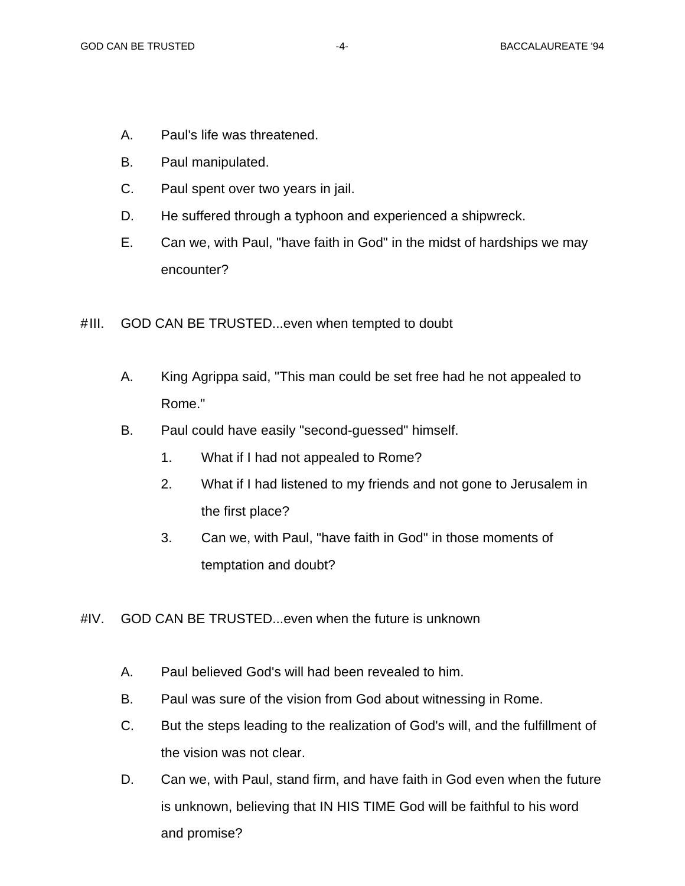- A. Paul's life was threatened.
- B. Paul manipulated.
- C. Paul spent over two years in jail.
- D. He suffered through a typhoon and experienced a shipwreck.
- E. Can we, with Paul, "have faith in God" in the midst of hardships we may encounter?

### #III. GOD CAN BE TRUSTED...even when tempted to doubt

- A. King Agrippa said, "This man could be set free had he not appealed to Rome."
- B. Paul could have easily "second-guessed" himself.
	- 1. What if I had not appealed to Rome?
	- 2. What if I had listened to my friends and not gone to Jerusalem in the first place?
	- 3. Can we, with Paul, "have faith in God" in those moments of temptation and doubt?
- #IV. GOD CAN BE TRUSTED...even when the future is unknown
	- A. Paul believed God's will had been revealed to him.
	- B. Paul was sure of the vision from God about witnessing in Rome.
	- C. But the steps leading to the realization of God's will, and the fulfillment of the vision was not clear.
	- D. Can we, with Paul, stand firm, and have faith in God even when the future is unknown, believing that IN HIS TIME God will be faithful to his word and promise?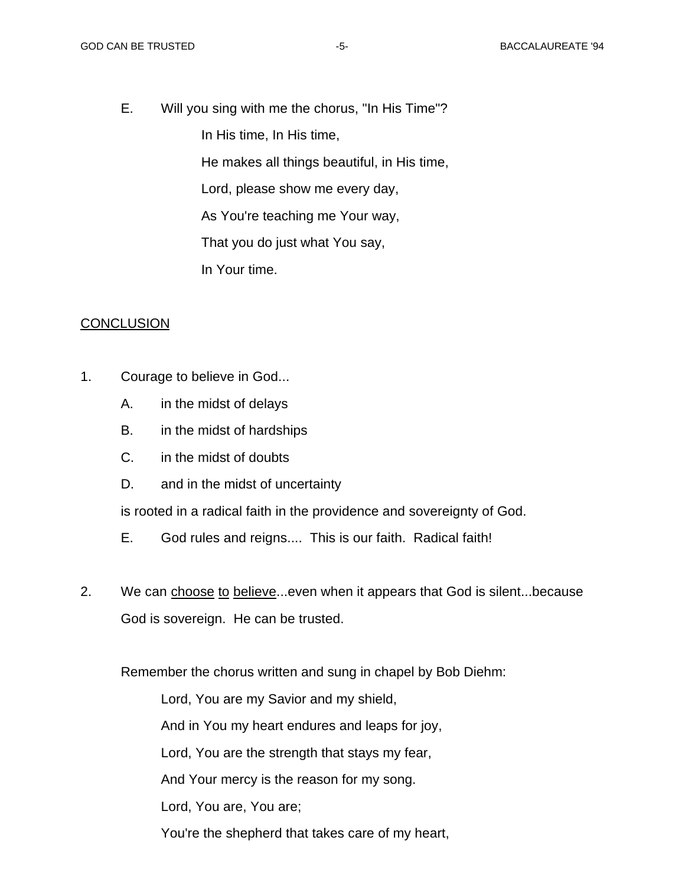E. Will you sing with me the chorus, "In His Time"?

In His time, In His time,

He makes all things beautiful, in His time,

Lord, please show me every day,

As You're teaching me Your way,

That you do just what You say,

In Your time.

### **CONCLUSION**

- 1. Courage to believe in God...
	- A. in the midst of delays
	- B. in the midst of hardships
	- C. in the midst of doubts
	- D. and in the midst of uncertainty

is rooted in a radical faith in the providence and sovereignty of God.

- E. God rules and reigns.... This is our faith. Radical faith!
- 2. We can choose to believe...even when it appears that God is silent...because God is sovereign. He can be trusted.

Remember the chorus written and sung in chapel by Bob Diehm:

Lord, You are my Savior and my shield,

And in You my heart endures and leaps for joy,

Lord, You are the strength that stays my fear,

And Your mercy is the reason for my song.

Lord, You are, You are;

You're the shepherd that takes care of my heart,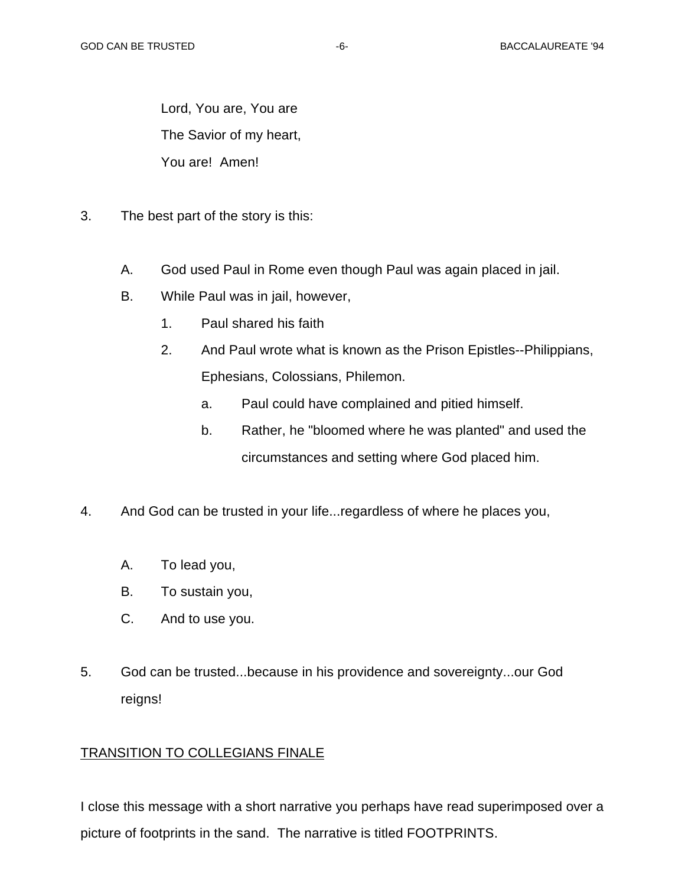Lord, You are, You are The Savior of my heart, You are! Amen!

- 3. The best part of the story is this:
	- A. God used Paul in Rome even though Paul was again placed in jail.
	- B. While Paul was in jail, however,
		- 1. Paul shared his faith
		- 2. And Paul wrote what is known as the Prison Epistles--Philippians, Ephesians, Colossians, Philemon.
			- a. Paul could have complained and pitied himself.
			- b. Rather, he "bloomed where he was planted" and used the circumstances and setting where God placed him.
- 4. And God can be trusted in your life...regardless of where he places you,
	- A. To lead you,
	- B. To sustain you,
	- C. And to use you.
- 5. God can be trusted...because in his providence and sovereignty...our God reigns!

# TRANSITION TO COLLEGIANS FINALE

I close this message with a short narrative you perhaps have read superimposed over a picture of footprints in the sand. The narrative is titled FOOTPRINTS.